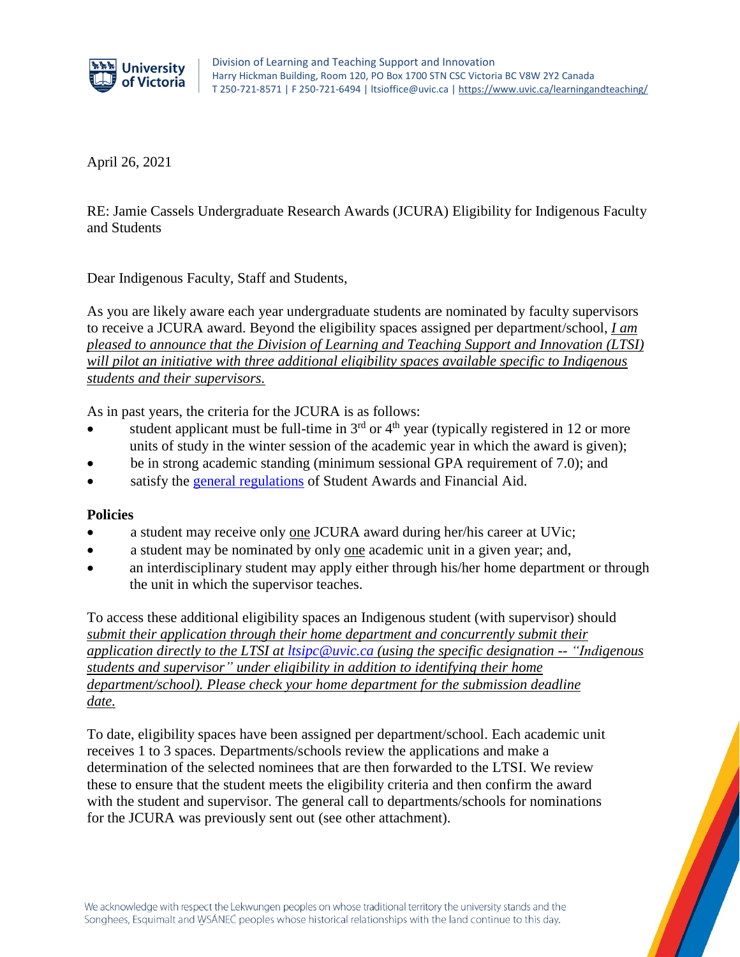

April 26, 2021

RE: Jamie Cassels Undergraduate Research Awards (JCURA) Eligibility for Indigenous Faculty and Students

Dear Indigenous Faculty, Staff and Students,

As you are likely aware each year undergraduate students are nominated by faculty supervisors to receive a JCURA award. Beyond the eligibility spaces assigned per department/school, *I am pleased to announce that the Division of Learning and Teaching Support and Innovation (LTSI) will pilot an initiative with three additional eligibility spaces available specific to Indigenous students and their supervisors.*

As in past years, the criteria for the JCURA is as follows:

- student applicant must be full-time in  $3<sup>rd</sup>$  or  $4<sup>th</sup>$  year (typically registered in 12 or more units of study in the winter session of the academic year in which the award is given);
- be in strong academic standing (minimum sessional GPA requirement of 7.0); and
- satisfy the [general regulations](https://www.uvic.ca/registrar/safa/entrance-scholarships/regulations/index.php) of Student Awards and Financial Aid.

## **Policies**

- a student may receive only one JCURA award during her/his career at UVic;
- a student may be nominated by only one academic unit in a given year; and,
- an interdisciplinary student may apply either through his/her home department or through the unit in which the supervisor teaches.

To access these additional eligibility spaces an Indigenous student (with supervisor) should *submit their application through their home department and concurrently submit their application directly to the LTSI at [ltsipc@uvic.ca](mailto:ltsipc@uvic.ca) (using the specific designation -- "Indigenous students and supervisor" under eligibility in addition to identifying their home department/school). Please check your home department for the submission deadline date.*

To date, eligibility spaces have been assigned per department/school. Each academic unit receives 1 to 3 spaces. Departments/schools review the applications and make a determination of the selected nominees that are then forwarded to the LTSI. We review these to ensure that the student meets the eligibility criteria and then confirm the award with the student and supervisor. The general call to departments/schools for nominations for the JCURA was previously sent out (see other attachment).